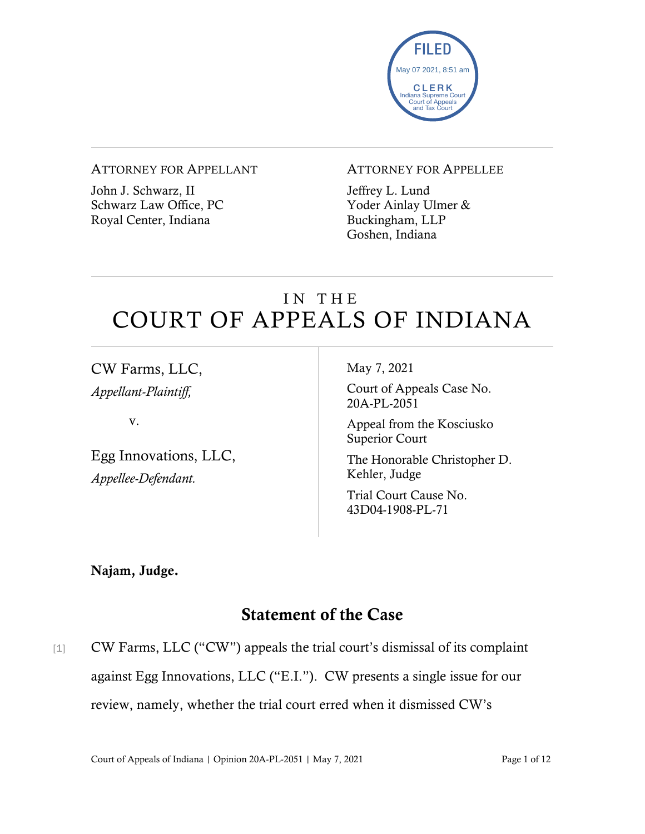

#### ATTORNEY FOR APPELLANT

John J. Schwarz, II Schwarz Law Office, PC Royal Center, Indiana

#### ATTORNEY FOR APPELLEE

Jeffrey L. Lund Yoder Ainlay Ulmer & Buckingham, LLP Goshen, Indiana

# IN THE COURT OF APPEALS OF INDIANA

CW Farms, LLC, *Appellant-Plaintiff,*

v.

Egg Innovations, LLC, *Appellee-Defendant.*

May 7, 2021

Court of Appeals Case No. 20A-PL-2051

Appeal from the Kosciusko Superior Court

The Honorable Christopher D. Kehler, Judge

Trial Court Cause No. 43D04-1908-PL-71

Najam, Judge.

# Statement of the Case

[1] CW Farms, LLC ("CW") appeals the trial court's dismissal of its complaint against Egg Innovations, LLC ("E.I."). CW presents a single issue for our review, namely, whether the trial court erred when it dismissed CW's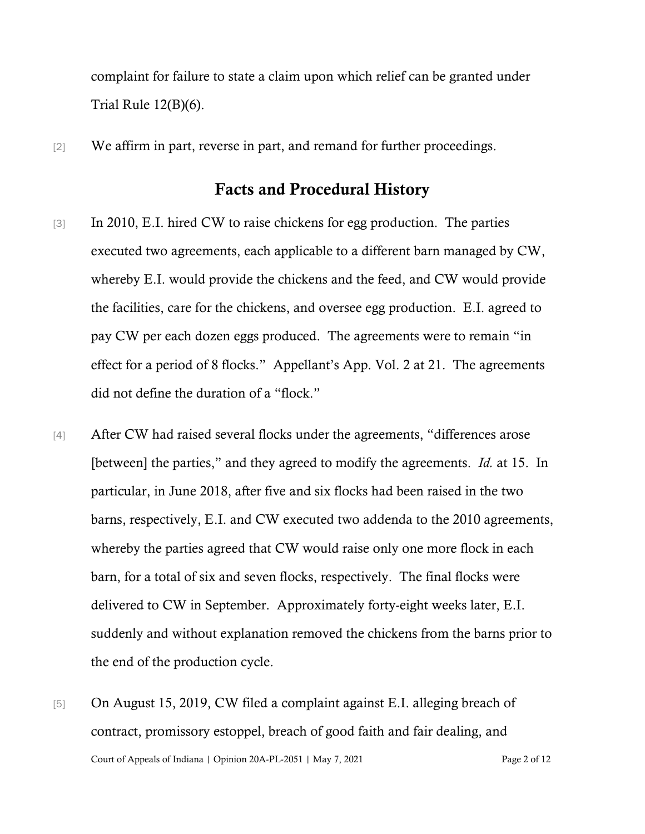complaint for failure to state a claim upon which relief can be granted under Trial Rule 12(B)(6).

[2] We affirm in part, reverse in part, and remand for further proceedings.

### Facts and Procedural History

- [3] In 2010, E.I. hired CW to raise chickens for egg production. The parties executed two agreements, each applicable to a different barn managed by CW, whereby E.I. would provide the chickens and the feed, and CW would provide the facilities, care for the chickens, and oversee egg production. E.I. agreed to pay CW per each dozen eggs produced. The agreements were to remain "in effect for a period of 8 flocks." Appellant's App. Vol. 2 at 21. The agreements did not define the duration of a "flock."
- [4] After CW had raised several flocks under the agreements, "differences arose [between] the parties," and they agreed to modify the agreements. *Id.* at 15. In particular, in June 2018, after five and six flocks had been raised in the two barns, respectively, E.I. and CW executed two addenda to the 2010 agreements, whereby the parties agreed that CW would raise only one more flock in each barn, for a total of six and seven flocks, respectively. The final flocks were delivered to CW in September. Approximately forty-eight weeks later, E.I. suddenly and without explanation removed the chickens from the barns prior to the end of the production cycle.
- Court of Appeals of Indiana | Opinion 20A-PL-2051 | May 7, 2021 Page 2 of 12 [5] On August 15, 2019, CW filed a complaint against E.I. alleging breach of contract, promissory estoppel, breach of good faith and fair dealing, and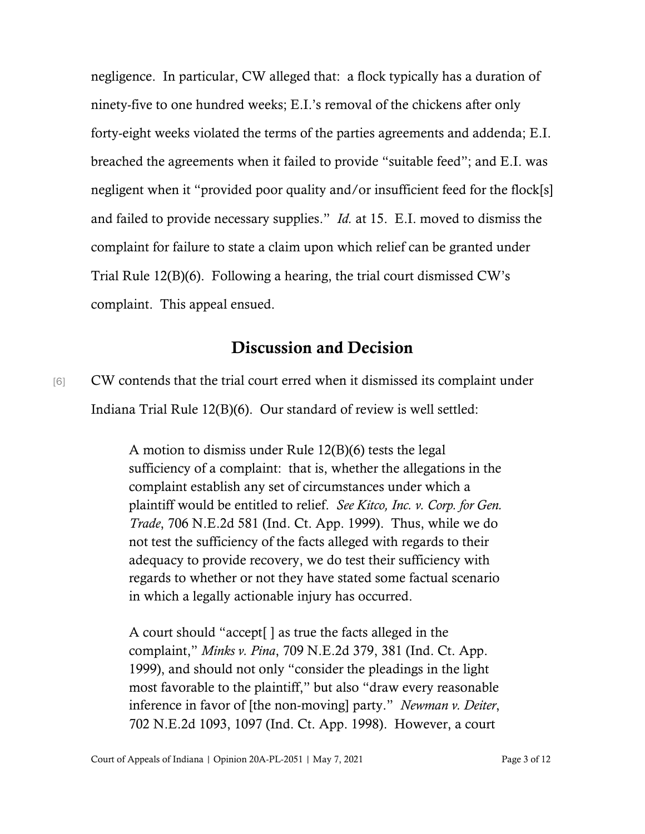negligence. In particular, CW alleged that: a flock typically has a duration of ninety-five to one hundred weeks; E.I.'s removal of the chickens after only forty-eight weeks violated the terms of the parties agreements and addenda; E.I. breached the agreements when it failed to provide "suitable feed"; and E.I. was negligent when it "provided poor quality and/or insufficient feed for the flock[s] and failed to provide necessary supplies." *Id.* at 15. E.I. moved to dismiss the complaint for failure to state a claim upon which relief can be granted under Trial Rule 12(B)(6). Following a hearing, the trial court dismissed CW's complaint. This appeal ensued.

## Discussion and Decision

[6] CW contends that the trial court erred when it dismissed its complaint under Indiana Trial Rule 12(B)(6). Our standard of review is well settled:

> A motion to dismiss under Rule 12(B)(6) tests the legal sufficiency of a complaint: that is, whether the allegations in the complaint establish any set of circumstances under which a plaintiff would be entitled to relief. *See Kitco, Inc. v. Corp. for Gen. Trade*, 706 N.E.2d 581 (Ind. Ct. App. 1999). Thus, while we do not test the sufficiency of the facts alleged with regards to their adequacy to provide recovery, we do test their sufficiency with regards to whether or not they have stated some factual scenario in which a legally actionable injury has occurred.

> A court should "accept[ ] as true the facts alleged in the complaint," *Minks v. Pina*, 709 N.E.2d 379, 381 (Ind. Ct. App. 1999), and should not only "consider the pleadings in the light most favorable to the plaintiff," but also "draw every reasonable inference in favor of [the non-moving] party." *Newman v. Deiter*, 702 N.E.2d 1093, 1097 (Ind. Ct. App. 1998). However, a court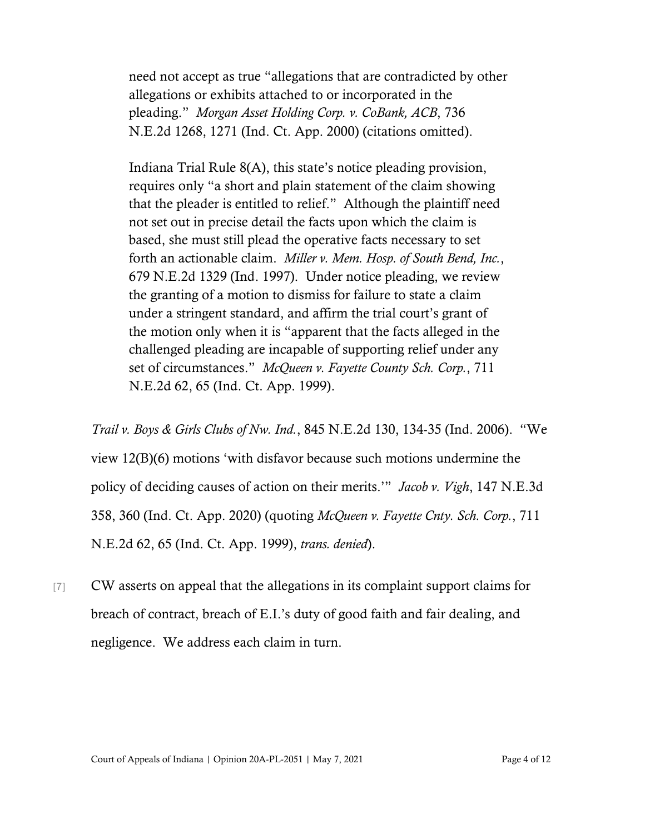need not accept as true "allegations that are contradicted by other allegations or exhibits attached to or incorporated in the pleading." *Morgan Asset Holding Corp. v. CoBank, ACB*, 736 N.E.2d 1268, 1271 (Ind. Ct. App. 2000) (citations omitted).

Indiana Trial Rule 8(A), this state's notice pleading provision, requires only "a short and plain statement of the claim showing that the pleader is entitled to relief." Although the plaintiff need not set out in precise detail the facts upon which the claim is based, she must still plead the operative facts necessary to set forth an actionable claim. *Miller v. Mem. Hosp. of South Bend, Inc.*, 679 N.E.2d 1329 (Ind. 1997). Under notice pleading, we review the granting of a motion to dismiss for failure to state a claim under a stringent standard, and affirm the trial court's grant of the motion only when it is "apparent that the facts alleged in the challenged pleading are incapable of supporting relief under any set of circumstances." *McQueen v. Fayette County Sch. Corp.*, 711 N.E.2d 62, 65 (Ind. Ct. App. 1999).

*Trail v. Boys & Girls Clubs of Nw. Ind.*, 845 N.E.2d 130, 134-35 (Ind. 2006). "We view 12(B)(6) motions 'with disfavor because such motions undermine the policy of deciding causes of action on their merits.'" *Jacob v. Vigh*, 147 N.E.3d 358, 360 (Ind. Ct. App. 2020) (quoting *McQueen v. Fayette Cnty. Sch. Corp.*, 711 N.E.2d 62, 65 (Ind. Ct. App. 1999), *trans. denied*).

[7] CW asserts on appeal that the allegations in its complaint support claims for breach of contract, breach of E.I.'s duty of good faith and fair dealing, and negligence. We address each claim in turn.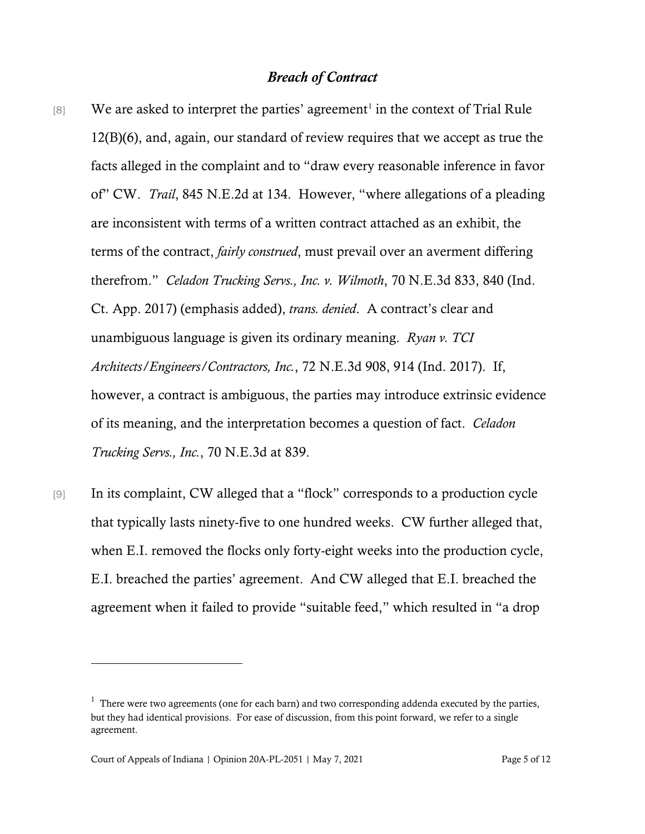### *Breach of Contract*

- [8] We are asked to interpret the parties' agreement<sup>[1](#page-4-0)</sup> in the context of Trial Rule 12(B)(6), and, again, our standard of review requires that we accept as true the facts alleged in the complaint and to "draw every reasonable inference in favor of" CW. *Trail*, 845 N.E.2d at 134. However, "where allegations of a pleading are inconsistent with terms of a written contract attached as an exhibit, the terms of the contract, *fairly construed*, must prevail over an averment differing therefrom." *Celadon Trucking Servs., Inc. v. Wilmoth*, 70 N.E.3d 833, 840 (Ind. Ct. App. 2017) (emphasis added), *trans. denied*. A contract's clear and unambiguous language is given its ordinary meaning. *Ryan v. TCI Architects/Engineers/Contractors, Inc.*, 72 N.E.3d 908, 914 (Ind. 2017). If, however, a contract is ambiguous, the parties may introduce extrinsic evidence of its meaning, and the interpretation becomes a question of fact. *Celadon Trucking Servs., Inc.*, 70 N.E.3d at 839.
- [9] In its complaint, CW alleged that a "flock" corresponds to a production cycle that typically lasts ninety-five to one hundred weeks. CW further alleged that, when E.I. removed the flocks only forty-eight weeks into the production cycle, E.I. breached the parties' agreement. And CW alleged that E.I. breached the agreement when it failed to provide "suitable feed," which resulted in "a drop

<span id="page-4-0"></span> $<sup>1</sup>$  There were two agreements (one for each barn) and two corresponding addenda executed by the parties,</sup> but they had identical provisions. For ease of discussion, from this point forward, we refer to a single agreement.

Court of Appeals of Indiana | Opinion 20A-PL-2051 | May 7, 2021 Page 5 of 12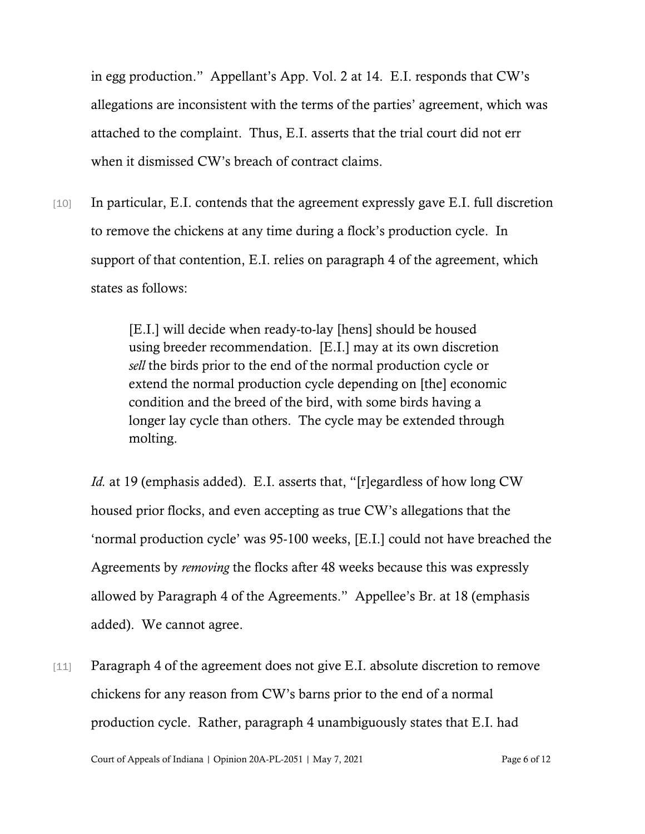in egg production." Appellant's App. Vol. 2 at 14. E.I. responds that CW's allegations are inconsistent with the terms of the parties' agreement, which was attached to the complaint. Thus, E.I. asserts that the trial court did not err when it dismissed CW's breach of contract claims.

[10] In particular, E.I. contends that the agreement expressly gave E.I. full discretion to remove the chickens at any time during a flock's production cycle. In support of that contention, E.I. relies on paragraph 4 of the agreement, which states as follows:

> [E.I.] will decide when ready-to-lay [hens] should be housed using breeder recommendation. [E.I.] may at its own discretion *sell* the birds prior to the end of the normal production cycle or extend the normal production cycle depending on [the] economic condition and the breed of the bird, with some birds having a longer lay cycle than others. The cycle may be extended through molting.

*Id.* at 19 (emphasis added). E.I. asserts that, "[r]egardless of how long CW housed prior flocks, and even accepting as true CW's allegations that the 'normal production cycle' was 95-100 weeks, [E.I.] could not have breached the Agreements by *removing* the flocks after 48 weeks because this was expressly allowed by Paragraph 4 of the Agreements." Appellee's Br. at 18 (emphasis added). We cannot agree.

[11] Paragraph 4 of the agreement does not give E.I. absolute discretion to remove chickens for any reason from CW's barns prior to the end of a normal production cycle. Rather, paragraph 4 unambiguously states that E.I. had

Court of Appeals of Indiana | Opinion 20A-PL-2051 | May 7, 2021 Page 6 of 12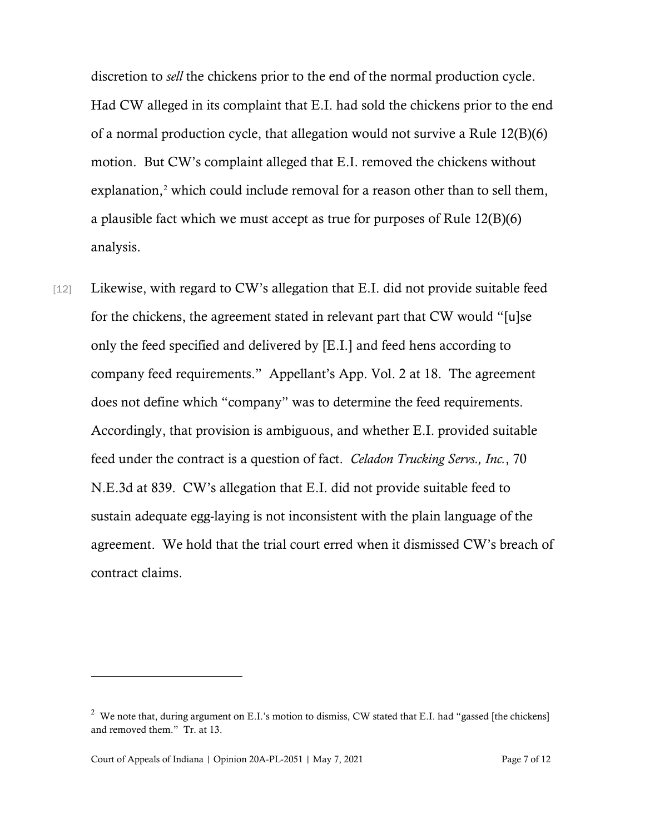discretion to *sell* the chickens prior to the end of the normal production cycle. Had CW alleged in its complaint that E.I. had sold the chickens prior to the end of a normal production cycle, that allegation would not survive a Rule 12(B)(6) motion. But CW's complaint alleged that E.I. removed the chickens without explanation, [2](#page-6-0) which could include removal for a reason other than to sell them, a plausible fact which we must accept as true for purposes of Rule 12(B)(6) analysis.

[12] Likewise, with regard to CW's allegation that E.I. did not provide suitable feed for the chickens, the agreement stated in relevant part that CW would "[u]se only the feed specified and delivered by [E.I.] and feed hens according to company feed requirements." Appellant's App. Vol. 2 at 18. The agreement does not define which "company" was to determine the feed requirements. Accordingly, that provision is ambiguous, and whether E.I. provided suitable feed under the contract is a question of fact. *Celadon Trucking Servs., Inc.*, 70 N.E.3d at 839. CW's allegation that E.I. did not provide suitable feed to sustain adequate egg-laying is not inconsistent with the plain language of the agreement. We hold that the trial court erred when it dismissed CW's breach of contract claims.

<span id="page-6-0"></span><sup>&</sup>lt;sup>2</sup> We note that, during argument on E.I.'s motion to dismiss, CW stated that E.I. had "gassed [the chickens] and removed them." Tr. at 13.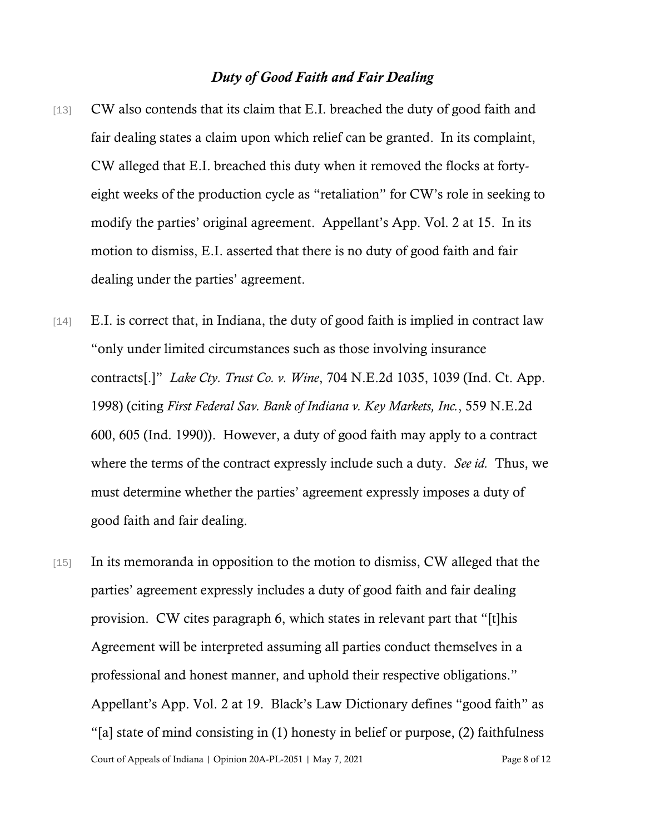### *Duty of Good Faith and Fair Dealing*

- [13] CW also contends that its claim that E.I. breached the duty of good faith and fair dealing states a claim upon which relief can be granted. In its complaint, CW alleged that E.I. breached this duty when it removed the flocks at fortyeight weeks of the production cycle as "retaliation" for CW's role in seeking to modify the parties' original agreement. Appellant's App. Vol. 2 at 15. In its motion to dismiss, E.I. asserted that there is no duty of good faith and fair dealing under the parties' agreement.
- [14] E.I. is correct that, in Indiana, the duty of good faith is implied in contract law "only under limited circumstances such as those involving insurance contracts[.]" *Lake Cty. Trust Co. v. Wine*, 704 N.E.2d 1035, 1039 (Ind. Ct. App. 1998) (citing *First Federal Sav. Bank of Indiana v. Key Markets, Inc.*, 559 N.E.2d 600, 605 (Ind. 1990)). However, a duty of good faith may apply to a contract where the terms of the contract expressly include such a duty. *See id.* Thus, we must determine whether the parties' agreement expressly imposes a duty of good faith and fair dealing.
- Court of Appeals of Indiana | Opinion 20A-PL-2051 | May 7, 2021 Page 8 of 12 [15] In its memoranda in opposition to the motion to dismiss, CW alleged that the parties' agreement expressly includes a duty of good faith and fair dealing provision. CW cites paragraph 6, which states in relevant part that "[t]his Agreement will be interpreted assuming all parties conduct themselves in a professional and honest manner, and uphold their respective obligations." Appellant's App. Vol. 2 at 19. Black's Law Dictionary defines "good faith" as "[a] state of mind consisting in (1) honesty in belief or purpose, (2) faithfulness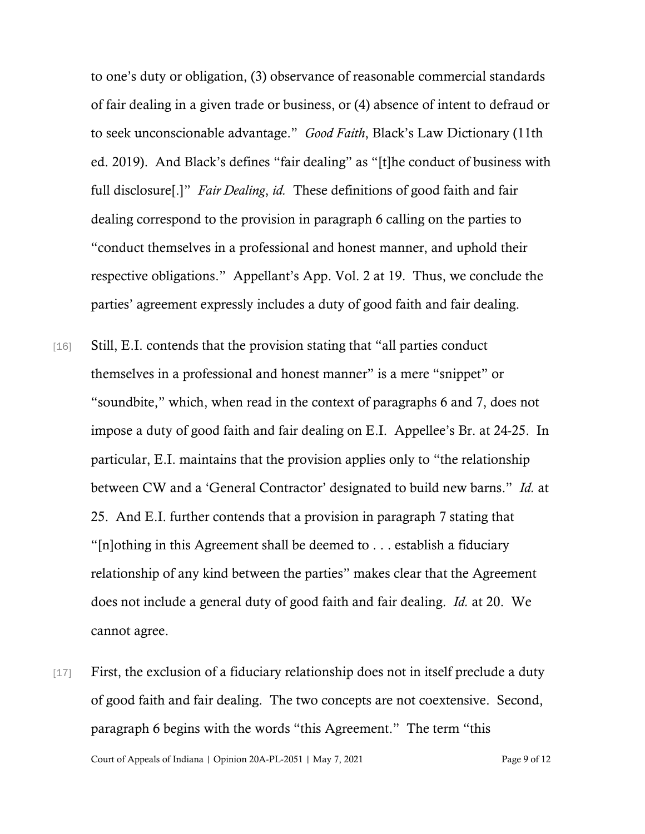to one's duty or obligation, (3) observance of reasonable commercial standards of fair dealing in a given trade or business, or (4) absence of intent to defraud or to seek unconscionable advantage." *Good Faith*, Black's Law Dictionary (11th ed. 2019). And Black's defines "fair dealing" as "[t]he conduct of business with full disclosure[.]" *Fair Dealing*, *id.* These definitions of good faith and fair dealing correspond to the provision in paragraph 6 calling on the parties to "conduct themselves in a professional and honest manner, and uphold their respective obligations." Appellant's App. Vol. 2 at 19. Thus, we conclude the parties' agreement expressly includes a duty of good faith and fair dealing.

- [16] Still, E.I. contends that the provision stating that "all parties conduct" themselves in a professional and honest manner" is a mere "snippet" or "soundbite," which, when read in the context of paragraphs 6 and 7, does not impose a duty of good faith and fair dealing on E.I. Appellee's Br. at 24-25. In particular, E.I. maintains that the provision applies only to "the relationship between CW and a 'General Contractor' designated to build new barns." *Id.* at 25. And E.I. further contends that a provision in paragraph 7 stating that "[n]othing in this Agreement shall be deemed to . . . establish a fiduciary relationship of any kind between the parties" makes clear that the Agreement does not include a general duty of good faith and fair dealing. *Id.* at 20. We cannot agree.
- [17] First, the exclusion of a fiduciary relationship does not in itself preclude a duty of good faith and fair dealing. The two concepts are not coextensive. Second, paragraph 6 begins with the words "this Agreement." The term "this

Court of Appeals of Indiana | Opinion 20A-PL-2051 | May 7, 2021 Page 9 of 12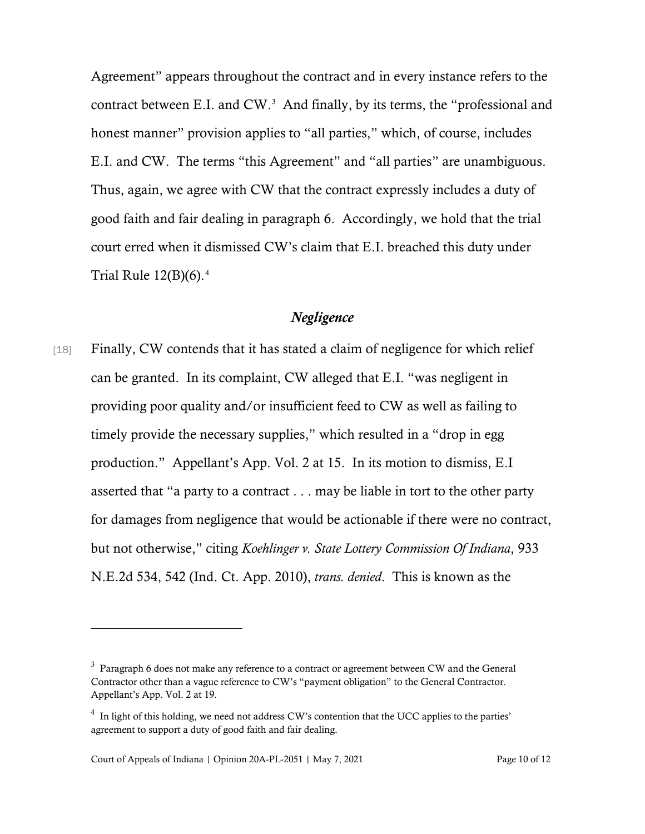Agreement" appears throughout the contract and in every instance refers to the contract between E.I. and CW.<sup>[3](#page-9-0)</sup> And finally, by its terms, the "professional and honest manner" provision applies to "all parties," which, of course, includes E.I. and CW. The terms "this Agreement" and "all parties" are unambiguous. Thus, again, we agree with CW that the contract expressly includes a duty of good faith and fair dealing in paragraph 6. Accordingly, we hold that the trial court erred when it dismissed CW's claim that E.I. breached this duty under Trial Rule  $12(B)(6)$ .<sup>[4](#page-9-1)</sup>

### *Negligence*

[18] Finally, CW contends that it has stated a claim of negligence for which relief can be granted. In its complaint, CW alleged that E.I. "was negligent in providing poor quality and/or insufficient feed to CW as well as failing to timely provide the necessary supplies," which resulted in a "drop in egg production." Appellant's App. Vol. 2 at 15. In its motion to dismiss, E.I asserted that "a party to a contract . . . may be liable in tort to the other party for damages from negligence that would be actionable if there were no contract, but not otherwise," citing *Koehlinger v. State Lottery Commission Of Indiana*, 933 N.E.2d 534, 542 (Ind. Ct. App. 2010), *trans. denied*. This is known as the

<span id="page-9-0"></span> $3$  Paragraph 6 does not make any reference to a contract or agreement between CW and the General Contractor other than a vague reference to CW's "payment obligation" to the General Contractor. Appellant's App. Vol. 2 at 19.

<span id="page-9-1"></span> $4\;$  In light of this holding, we need not address CW's contention that the UCC applies to the parties' agreement to support a duty of good faith and fair dealing.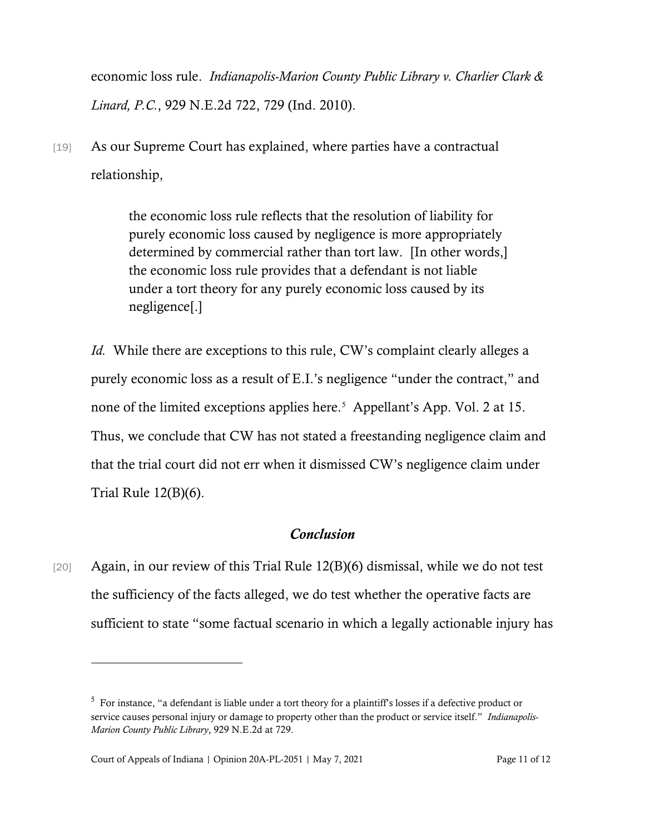economic loss rule. *Indianapolis-Marion County Public Library v. Charlier Clark & Linard, P.C.*, 929 N.E.2d 722, 729 (Ind. 2010).

[19] As our Supreme Court has explained, where parties have a contractual relationship,

> the economic loss rule reflects that the resolution of liability for purely economic loss caused by negligence is more appropriately determined by commercial rather than tort law. [In other words,] the economic loss rule provides that a defendant is not liable under a tort theory for any purely economic loss caused by its negligence[.]

*Id.* While there are exceptions to this rule, CW's complaint clearly alleges a purely economic loss as a result of E.I.'s negligence "under the contract," and none of the limited exceptions applies here.<sup>[5](#page-10-0)</sup> Appellant's App. Vol. 2 at 15. Thus, we conclude that CW has not stated a freestanding negligence claim and that the trial court did not err when it dismissed CW's negligence claim under Trial Rule 12(B)(6).

### *Conclusion*

[20] Again, in our review of this Trial Rule 12(B)(6) dismissal, while we do not test the sufficiency of the facts alleged, we do test whether the operative facts are sufficient to state "some factual scenario in which a legally actionable injury has

<span id="page-10-0"></span> $5$  For instance, "a defendant is liable under a tort theory for a plaintiff's losses if a defective product or service causes personal injury or damage to property other than the product or service itself." *Indianapolis-Marion County Public Library*, 929 N.E.2d at 729.